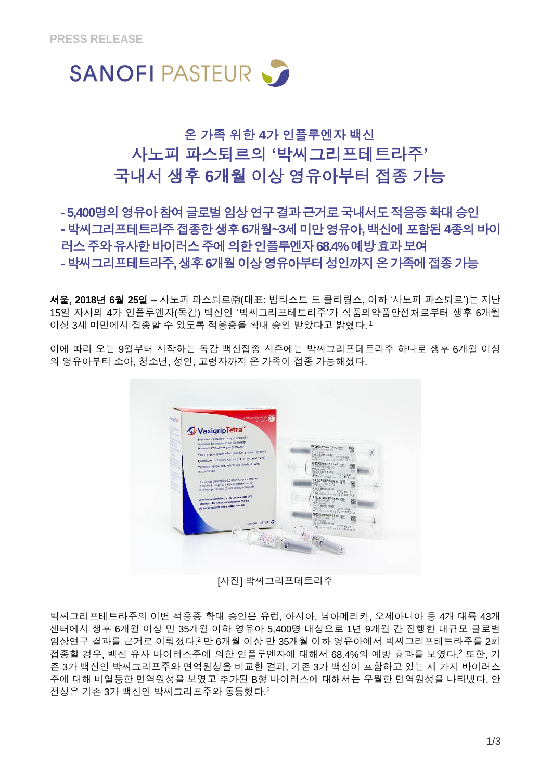

# 온 가족 위한 **4**가 인플루엔자 백신 사노피 파스퇴르의 **'**박씨그리프테트라주**'** 국내서 생후 **6**개월 이상 영유아부터 접종 가능

# -5,400명의 영유아 참여 글로벌 임상 연구 결과 근거로 국내서도 적응증 확대 승인 **-**박씨그리프테트라주접종한생후**6**개월**~3**세미만영유아**,** 백신에포함된**4**종의바이 러스주와유사한바이러스주에의한인플루엔자**68.4%** 예방효과보여 **-**박씨그리프테트라주**,** 생후**6**개월이상영유아부터성인까지온가족에접종가능

서울**, 2018**년 **6**월 **25**일 **–** 사노피 파스퇴르㈜(대표: 밥티스트 드 클라랑스, 이하 '사노피 파스퇴르')는 지난 15일 자사의 4가 인플루엔자(독감) 백신인 '박씨그리프테트라주'가 식품의약품안전처로부터 생후 6개월 이상 3세 미만에서 접종할 수 있도록 적응증을 확대 승인 받았다고 밝혔다. 1

이에 따라 오는 9월부터 시작하는 독감 백신접종 시즌에는 박씨그리프테트라주 하나로 생후 6개월 이상 의 영유아부터 소아, 청소년, 성인, 고령자까지 온 가족이 접종 가능해졌다.

<span id="page-0-1"></span>

[사진] 박씨그리프테트라주

<span id="page-0-0"></span>박씨그리프테트라주의 이번 적응증 확대 승인은 유럽, 아시아, 남아메리카, 오세아니아 등 4개 대륙 43개 센터에서 생후 6개월 이상 만 35개월 이하 영유아 5,400명 대상으로 1년 9개월 간 진행한 대규모 글로벌 임상연구 결과를 근거로 이뤄졌다. <sup>2</sup> 만 6개월 이상 만 35개월 이하 영유아에서 박씨그리프테트라주를 2회 접종할 경우, 백신 유사 바이러스주에 의한 인플루엔자에 대해서 68.4%의 예방 효과를 보였다. [2](#page-0-0) 또한, 기 존 3가 백신인 박씨그리프주와 면역원성을 비교한 결과, 기존 3가 백신이 포함하고 있는 세 가지 바이러스 주에 대해 비열등한 면역원성을 보였고 추가된 B형 바이러스에 대해서는 우월한 면역원성을 나타냈다. 안 전성은 기존 3가 백신인 박씨그리프주와 동등했다. [2](#page-0-0)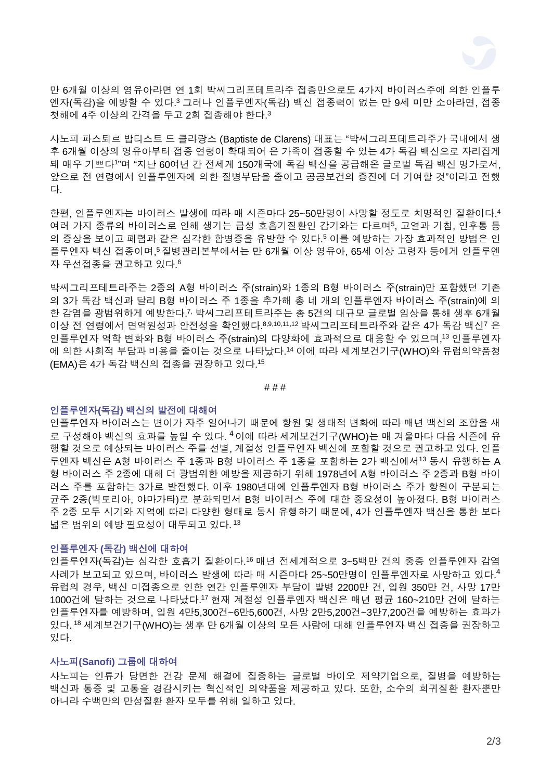<span id="page-1-3"></span><span id="page-1-1"></span>

<span id="page-1-0"></span>만 6개월 이상의 영유아라면 연 1회 박씨그리프테트라주 접종만으로도 4가지 바이러스주에 의한 인플루 엔자(독감)을 예방할 수 있다. <sup>3</sup> 그러나 인플루엔자(독감) 백신 접종력이 없는 만 9세 미만 소아라면, 접종 첫해에 4주 이상의 간격을 두고 2회 접종해야 한다[.](#page-1-0) 3

사노피 파스퇴르 밥티스트 드 클라랑스 (Baptiste de Clarens) 대표는 "박씨그리프테트라주가 국내에서 생 후 6개월 이상의 영유아부터 접종 연령이 확대되어 온 가족이 접종할 수 있는 4가 독감 백신으로 자리잡게 돼 매우 기쁘다[1](#page-0-1) "며 "지난 60여년 간 전세계 150개국에 독감 백신을 공급해온 글로벌 독감 백신 명가로서, 앞으로 전 연령에서 인플루엔자에 의한 질병부담을 줄이고 공공보건의 증진에 더 기여할 것"이라고 전했 다.

한편, 인플루엔자는 바이러스 발생에 따라 매 시즌마다 25~50만명이 사망할 정도로 치명적인 질환이다. 4 여러 가지 종류의 바이러스로 인해 생기는 급성 호흡기질환인 감기와는 다르며<sup>5</sup>, 고열과 기침, 인후통 등 의 증상을 보이고 폐렴과 같은 심각한 합병증을 유발할 수 있다[.](#page-1-1) <sup>5</sup> 이를 예방하는 가장 효과적인 방법은 인 플루엔자 백신 접종이며[,](#page-1-1) 5질병관리본부에서는 만 6개월 이상 영유아, 65세 이상 고령자 등에게 인플루엔 자 우선접종을 권고하고 있다. 6

박씨그리프테트라주는 2종의 A형 바이러스 주(strain)와 1종의 B형 바이러스 주(strain)만 포함했던 기존 의 3가 독감 백신과 달리 B형 바이러스 주 1종을 추가해 총 네 개의 인플루엔자 바이러스 주(strain)에 의 한 감염을 광범위하게 예방한다. 7, 박씨그리프테트라주는 총 5건의 대규모 글로벌 임상을 통해 생후 6개월 이상 전 연령에서 면역원성과 안전성을 확인했다. 8,9,10,11,12 박씨그리프테트라주와 같은 4가 독감 백신[7](#page-1-2) 은 인플루엔자 역학 변화와 B형 바이러스 주(strain)의 다양화에 효과적으로 대응할 수 있으며, <sup>13</sup> 인플루엔자 에 의한 사회적 부담과 비용을 줄이는 것으로 나타났다. <sup>14</sup> 이에 따라 세계보건기구(WHO)와 유럽의약품청 (EMA)은 4가 독감 백신의 접종을 권장하고 있다. 15

<span id="page-1-4"></span><span id="page-1-2"></span># # #

#### 인플루엔자**(**독감**)** 백신의 발전에 대해여

인플루엔자 바이러스는 변이가 자주 일어나기 때문에 항원 및 생태적 변화에 따라 매년 백신의 조합을 새 로 구성해야 백신의 효과를 높일 수 있다. <sup>[4](#page-1-3)</sup>이에 따라 세계보건기구(WHO)는 매 겨울마다 다음 시즌에 유 행할 것으로 예상되는 바이러스 주를 선별, 계절성 인플루엔자 백신에 포함할 것으로 권고하고 있다. 인플 루엔자 백신은 A형 바이러스 주 1종과 B형 바이러스 주 1종을 포함하는 2가 백신에서[13](#page-1-4) 동시 유행하는 A 형 바이러스 주 2종에 대해 더 광범위한 예방을 제공하기 위해 1978년에 A형 바이러스 주 2종과 B형 바이 러스 주를 포함하는 3가로 발전했다. 이후 1980년대에 인플루엔자 B형 바이러스 주가 항원이 구분되는 균주 2종(빅토리아, 야마가타)로 분화되면서 B형 바이러스 주에 대한 중요성이 높아졌다. B형 바이러스 주 2종 모두 시기와 지역에 따라 다양한 형태로 동시 유행하기 때문에, 4가 인플루엔자 백신을 통한 보다 넓은 범위의 예방 필요성이 대두되고 있다. [13](#page-1-4)

## 인플루엔자 **(**독감**)** 백신에 대하여

인플루엔자(독감)는 심각한 호흡기 질환이다. <sup>16</sup> 매년 전세계적으로 3~5백만 건의 중증 인플루엔자 감염 사례가 보고되고 있으며, 바이러스 발생에 따라 매 시즌마다 25~50만명이 인플루엔자로 사망하고 있다. [4](#page-1-3) 유럽의 경우, 백신 미접종으로 인한 연간 인플루엔자 부담이 발병 2200만 건, 입원 350만 건, 사망 17만 1000건에 달하는 것으로 나타났다. <sup>17</sup> 현재 계절성 인플루엔자 백신은 매년 평균 160~210만 건에 달하는 인플루엔자를 예방하며, 입원 4만5,300건~6만5,600건, 사망 2만5,200건~3만7,200건을 예방하는 효과가 있다. <sup>18</sup> 세계보건기구(WHO)는 생후 만 6개월 이상의 모든 사람에 대해 인플루엔자 백신 접종을 권장하고 있다.

#### 사노피**(Sanofi)** 그룹에 대하여

사노피는 인류가 당면한 건강 문제 해결에 집중하는 글로벌 바이오 제약기업으로, 질병을 예방하는 백신과 통증 및 고통을 경감시키는 혁신적인 의약품을 제공하고 있다. 또한, 소수의 희귀질환 환자뿐만 아니라 수백만의 만성질환 환자 모두를 위해 일하고 있다.